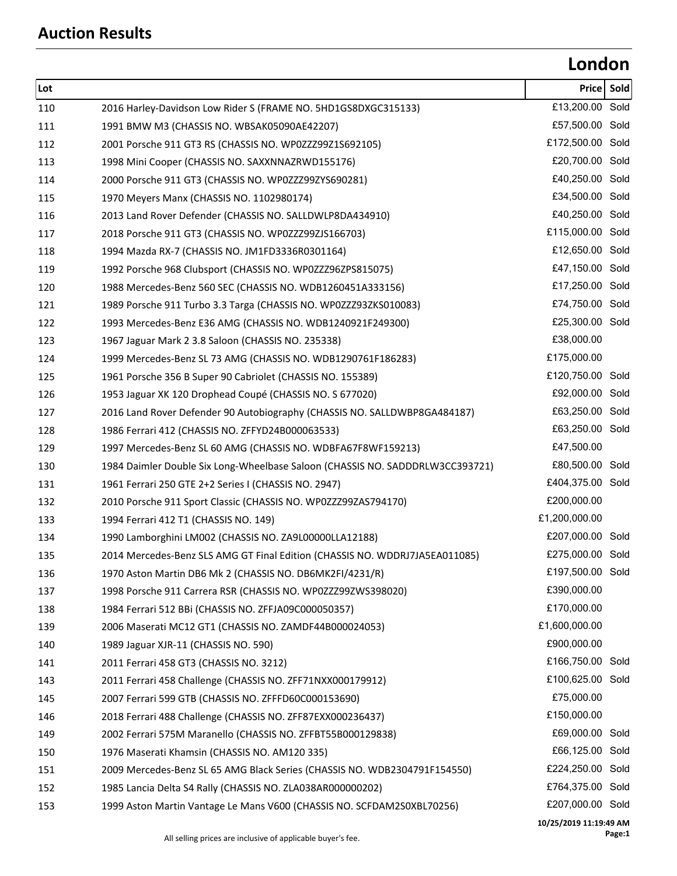## **London**

| Lot |                                                                               | Pricel                       | Sold |
|-----|-------------------------------------------------------------------------------|------------------------------|------|
| 110 | 2016 Harley-Davidson Low Rider S (FRAME NO. 5HD1GS8DXGC315133)                | £13,200.00 Sold              |      |
| 111 | 1991 BMW M3 (CHASSIS NO. WBSAK05090AE42207)                                   | £57,500.00 Sold              |      |
| 112 | 2001 Porsche 911 GT3 RS (CHASSIS NO. WP0ZZZ99Z1S692105)                       | £172,500.00 Sold             |      |
| 113 | 1998 Mini Cooper (CHASSIS NO. SAXXNNAZRWD155176)                              | £20,700.00 Sold              |      |
| 114 | 2000 Porsche 911 GT3 (CHASSIS NO. WP0ZZZ99ZYS690281)                          | £40,250.00 Sold              |      |
| 115 | 1970 Meyers Manx (CHASSIS NO. 1102980174)                                     | £34,500.00 Sold              |      |
| 116 | 2013 Land Rover Defender (CHASSIS NO. SALLDWLP8DA434910)                      | £40,250.00 Sold              |      |
| 117 | 2018 Porsche 911 GT3 (CHASSIS NO. WP0ZZZ99ZJS166703)                          | £115,000.00 Sold             |      |
| 118 | 1994 Mazda RX-7 (CHASSIS NO. JM1FD3336R0301164)                               | £12,650.00 Sold              |      |
| 119 | 1992 Porsche 968 Clubsport (CHASSIS NO. WP0ZZZ96ZPS815075)                    | £47,150.00 Sold              |      |
| 120 | 1988 Mercedes-Benz 560 SEC (CHASSIS NO. WDB1260451A333156)                    | £17,250.00 Sold              |      |
| 121 | 1989 Porsche 911 Turbo 3.3 Targa (CHASSIS NO. WP0ZZZ93ZKS010083)              | £74,750.00 Sold              |      |
| 122 | 1993 Mercedes-Benz E36 AMG (CHASSIS NO. WDB1240921F249300)                    | £25,300.00 Sold              |      |
| 123 | 1967 Jaguar Mark 2 3.8 Saloon (CHASSIS NO. 235338)                            | £38,000.00                   |      |
| 124 | 1999 Mercedes-Benz SL 73 AMG (CHASSIS NO. WDB1290761F186283)                  | £175,000.00                  |      |
| 125 | 1961 Porsche 356 B Super 90 Cabriolet (CHASSIS NO. 155389)                    | £120,750.00 Sold             |      |
| 126 | 1953 Jaguar XK 120 Drophead Coupé (CHASSIS NO. S 677020)                      | £92,000.00 Sold              |      |
| 127 | 2016 Land Rover Defender 90 Autobiography (CHASSIS NO. SALLDWBP8GA484187)     | £63,250.00 Sold              |      |
| 128 | 1986 Ferrari 412 (CHASSIS NO. ZFFYD24B000063533)                              | £63,250.00 Sold              |      |
| 129 | 1997 Mercedes-Benz SL 60 AMG (CHASSIS NO. WDBFA67F8WF159213)                  | £47,500.00                   |      |
| 130 | 1984 Daimler Double Six Long-Wheelbase Saloon (CHASSIS NO. SADDDRLW3CC393721) | £80,500.00 Sold              |      |
| 131 | 1961 Ferrari 250 GTE 2+2 Series I (CHASSIS NO. 2947)                          | £404,375.00 Sold             |      |
| 132 | 2010 Porsche 911 Sport Classic (CHASSIS NO. WP0ZZZ99ZAS794170)                | £200,000.00                  |      |
| 133 | 1994 Ferrari 412 T1 (CHASSIS NO. 149)                                         | £1,200,000.00                |      |
| 134 | 1990 Lamborghini LM002 (CHASSIS NO. ZA9L00000LLA12188)                        | £207,000.00 Sold             |      |
| 135 | 2014 Mercedes-Benz SLS AMG GT Final Edition (CHASSIS NO. WDDRJ7JA5EA011085)   | £275,000.00 Sold             |      |
| 136 | 1970 Aston Martin DB6 Mk 2 (CHASSIS NO. DB6MK2FI/4231/R)                      | £197,500.00 Sold             |      |
| 137 | 1998 Porsche 911 Carrera RSR (CHASSIS NO. WP0ZZZ99ZWS398020)                  | £390,000.00                  |      |
| 138 | 1984 Ferrari 512 BBi (CHASSIS NO. ZFFJA09C000050357)                          | £170,000.00                  |      |
| 139 | 2006 Maserati MC12 GT1 (CHASSIS NO. ZAMDF44B000024053)                        | £1,600,000.00                |      |
| 140 | 1989 Jaguar XJR-11 (CHASSIS NO. 590)                                          | £900,000.00                  |      |
| 141 | 2011 Ferrari 458 GT3 (CHASSIS NO. 3212)                                       | £166,750.00 Sold             |      |
| 143 | 2011 Ferrari 458 Challenge (CHASSIS NO. ZFF71NXX000179912)                    | £100,625.00 Sold             |      |
| 145 | 2007 Ferrari 599 GTB (CHASSIS NO. ZFFFD60C000153690)                          | £75,000.00                   |      |
| 146 | 2018 Ferrari 488 Challenge (CHASSIS NO. ZFF87EXX000236437)                    | £150,000.00                  |      |
| 149 | 2002 Ferrari 575M Maranello (CHASSIS NO. ZFFBT55B000129838)                   | £69,000.00 Sold              |      |
| 150 | 1976 Maserati Khamsin (CHASSIS NO. AM120 335)                                 | £66,125.00 Sold              |      |
| 151 | 2009 Mercedes-Benz SL 65 AMG Black Series (CHASSIS NO. WDB2304791F154550)     | £224,250.00 Sold             |      |
| 152 | 1985 Lancia Delta S4 Rally (CHASSIS NO. ZLA038AR000000202)                    | £764,375.00 Sold             |      |
| 153 | 1999 Aston Martin Vantage Le Mans V600 (CHASSIS NO. SCFDAM2S0XBL70256)        | £207,000.00 Sold             |      |
|     |                                                                               | $0.075$ $0.040.44.40.40.884$ |      |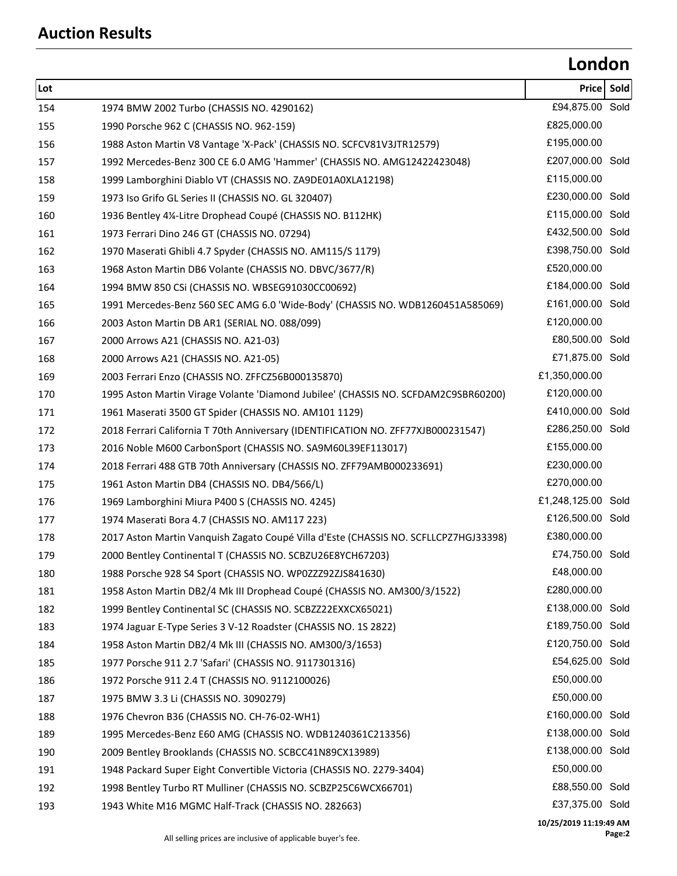## **London**

| Lot |                                                                                      | Price                  | Sold |
|-----|--------------------------------------------------------------------------------------|------------------------|------|
| 154 | 1974 BMW 2002 Turbo (CHASSIS NO. 4290162)                                            | £94,875.00 Sold        |      |
| 155 | 1990 Porsche 962 C (CHASSIS NO. 962-159)                                             | £825,000.00            |      |
| 156 | 1988 Aston Martin V8 Vantage 'X-Pack' (CHASSIS NO. SCFCV81V3JTR12579)                | £195,000.00            |      |
| 157 | 1992 Mercedes-Benz 300 CE 6.0 AMG 'Hammer' (CHASSIS NO. AMG12422423048)              | £207,000.00 Sold       |      |
| 158 | 1999 Lamborghini Diablo VT (CHASSIS NO. ZA9DE01A0XLA12198)                           | £115,000.00            |      |
| 159 | 1973 Iso Grifo GL Series II (CHASSIS NO. GL 320407)                                  | £230,000.00 Sold       |      |
| 160 | 1936 Bentley 4¼-Litre Drophead Coupé (CHASSIS NO. B112HK)                            | £115,000.00 Sold       |      |
| 161 | 1973 Ferrari Dino 246 GT (CHASSIS NO. 07294)                                         | £432,500.00 Sold       |      |
| 162 | 1970 Maserati Ghibli 4.7 Spyder (CHASSIS NO. AM115/S 1179)                           | £398,750.00 Sold       |      |
| 163 | 1968 Aston Martin DB6 Volante (CHASSIS NO. DBVC/3677/R)                              | £520,000.00            |      |
| 164 | 1994 BMW 850 CSi (CHASSIS NO. WBSEG91030CC00692)                                     | £184,000.00 Sold       |      |
| 165 | 1991 Mercedes-Benz 560 SEC AMG 6.0 'Wide-Body' (CHASSIS NO. WDB1260451A585069)       | £161,000.00 Sold       |      |
| 166 | 2003 Aston Martin DB AR1 (SERIAL NO. 088/099)                                        | £120,000.00            |      |
| 167 | 2000 Arrows A21 (CHASSIS NO. A21-03)                                                 | £80,500.00 Sold        |      |
| 168 | 2000 Arrows A21 (CHASSIS NO. A21-05)                                                 | £71,875.00 Sold        |      |
| 169 | 2003 Ferrari Enzo (CHASSIS NO. ZFFCZ56B000135870)                                    | £1,350,000.00          |      |
| 170 | 1995 Aston Martin Virage Volante 'Diamond Jubilee' (CHASSIS NO. SCFDAM2C9SBR60200)   | £120,000.00            |      |
| 171 | 1961 Maserati 3500 GT Spider (CHASSIS NO. AM101 1129)                                | £410,000.00 Sold       |      |
| 172 | 2018 Ferrari California T 70th Anniversary (IDENTIFICATION NO. ZFF77XJB000231547)    | £286,250.00 Sold       |      |
| 173 | 2016 Noble M600 CarbonSport (CHASSIS NO. SA9M60L39EF113017)                          | £155,000.00            |      |
| 174 | 2018 Ferrari 488 GTB 70th Anniversary (CHASSIS NO. ZFF79AMB000233691)                | £230,000.00            |      |
| 175 | 1961 Aston Martin DB4 (CHASSIS NO. DB4/566/L)                                        | £270,000.00            |      |
| 176 | 1969 Lamborghini Miura P400 S (CHASSIS NO. 4245)                                     | £1,248,125.00 Sold     |      |
| 177 | 1974 Maserati Bora 4.7 (CHASSIS NO. AM117 223)                                       | £126,500.00 Sold       |      |
| 178 | 2017 Aston Martin Vanquish Zagato Coupé Villa d'Este (CHASSIS NO. SCFLLCPZ7HGJ33398) | £380,000.00            |      |
| 179 | 2000 Bentley Continental T (CHASSIS NO. SCBZU26E8YCH67203)                           | £74,750.00 Sold        |      |
| 180 | 1988 Porsche 928 S4 Sport (CHASSIS NO. WP0ZZZ92ZJS841630)                            | £48,000.00             |      |
| 181 | 1958 Aston Martin DB2/4 Mk III Drophead Coupé (CHASSIS NO. AM300/3/1522)             | £280,000.00            |      |
| 182 | 1999 Bentley Continental SC (CHASSIS NO. SCBZZ22EXXCX65021)                          | £138,000.00 Sold       |      |
| 183 | 1974 Jaguar E-Type Series 3 V-12 Roadster (CHASSIS NO. 1S 2822)                      | £189,750.00 Sold       |      |
| 184 | 1958 Aston Martin DB2/4 Mk III (CHASSIS NO. AM300/3/1653)                            | £120,750.00 Sold       |      |
| 185 | 1977 Porsche 911 2.7 'Safari' (CHASSIS NO. 9117301316)                               | £54,625.00 Sold        |      |
| 186 | 1972 Porsche 911 2.4 T (CHASSIS NO. 9112100026)                                      | £50,000.00             |      |
| 187 | 1975 BMW 3.3 Li (CHASSIS NO. 3090279)                                                | £50,000.00             |      |
| 188 | 1976 Chevron B36 (CHASSIS NO. CH-76-02-WH1)                                          | £160,000.00 Sold       |      |
| 189 | 1995 Mercedes-Benz E60 AMG (CHASSIS NO. WDB1240361C213356)                           | £138,000.00 Sold       |      |
| 190 | 2009 Bentley Brooklands (CHASSIS NO. SCBCC41N89CX13989)                              | £138,000.00 Sold       |      |
| 191 | 1948 Packard Super Eight Convertible Victoria (CHASSIS NO. 2279-3404)                | £50,000.00             |      |
| 192 | 1998 Bentley Turbo RT Mulliner (CHASSIS NO. SCBZP25C6WCX66701)                       | £88,550.00 Sold        |      |
| 193 | 1943 White M16 MGMC Half-Track (CHASSIS NO. 282663)                                  | £37,375.00 Sold        |      |
|     |                                                                                      | 10/25/2019 11:19:49 AM |      |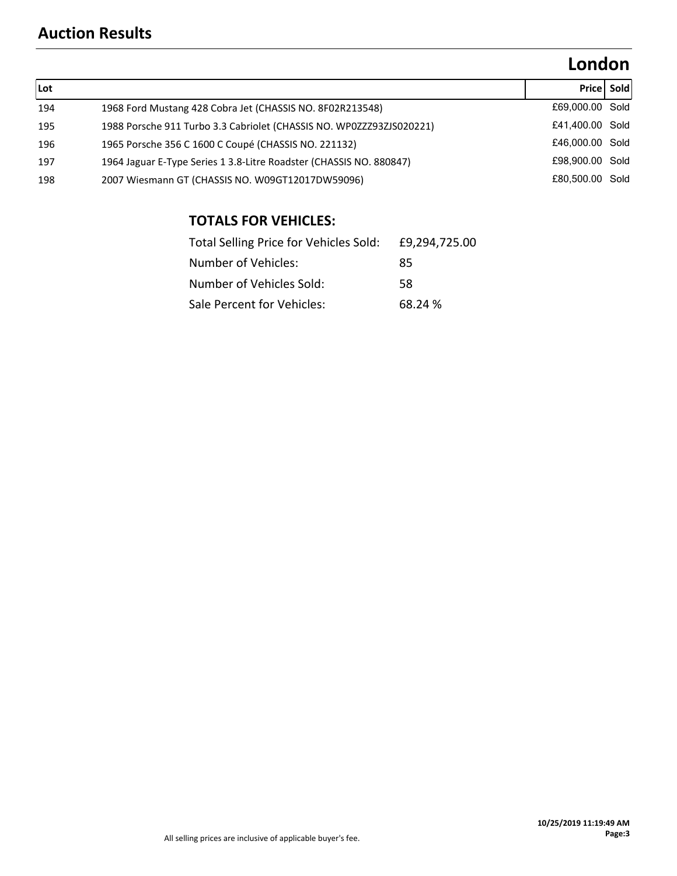### **Auction Results**

# **London**

| Lot |                                                                      |                 | <b>Pricel Sold</b> |
|-----|----------------------------------------------------------------------|-----------------|--------------------|
| 194 | 1968 Ford Mustang 428 Cobra Jet (CHASSIS NO. 8F02R213548)            | £69,000.00 Sold |                    |
| 195 | 1988 Porsche 911 Turbo 3.3 Cabriolet (CHASSIS NO. WP0ZZZ93ZJS020221) | £41,400.00 Sold |                    |
| 196 | 1965 Porsche 356 C 1600 C Coupé (CHASSIS NO. 221132)                 | £46,000,00 Sold |                    |
| 197 | 1964 Jaguar E-Type Series 1 3.8-Litre Roadster (CHASSIS NO. 880847)  | £98,900.00 Sold |                    |
| 198 | 2007 Wiesmann GT (CHASSIS NO. W09GT12017DW59096)                     | £80,500,00 Sold |                    |

### **TOTALS FOR VEHICLES:**

| Total Selling Price for Vehicles Sold: | £9.294.725.00 |
|----------------------------------------|---------------|
| Number of Vehicles:                    | 85            |
| Number of Vehicles Sold:               | 58            |
| Sale Percent for Vehicles:             | 68.24 %       |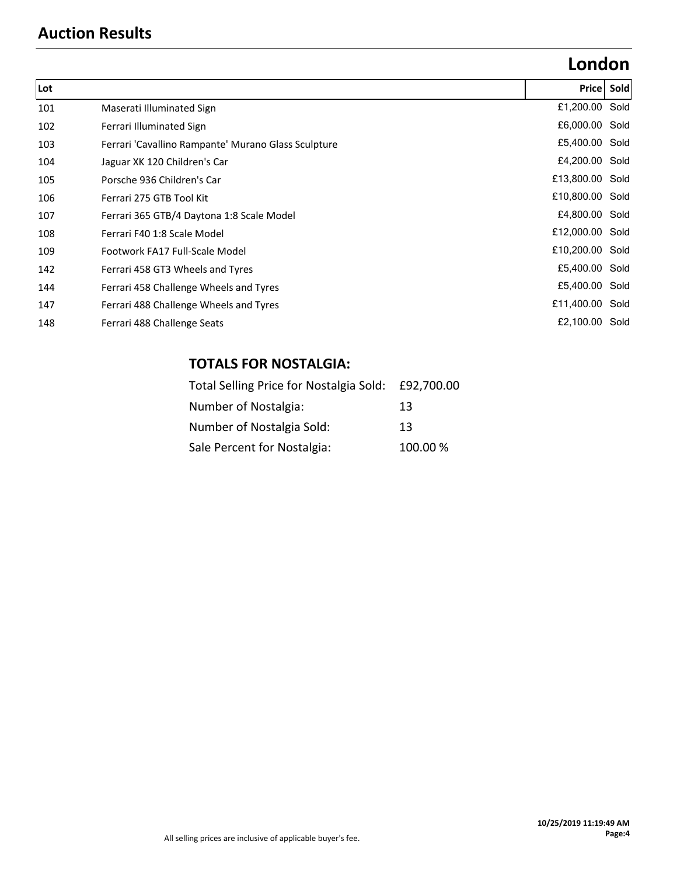### **Auction Results**

# **London**

| Lot |                                                     |                 | Price Sold |
|-----|-----------------------------------------------------|-----------------|------------|
| 101 | Maserati Illuminated Sign                           | £1,200.00 Sold  |            |
| 102 | Ferrari Illuminated Sign                            | £6,000.00 Sold  |            |
| 103 | Ferrari 'Cavallino Rampante' Murano Glass Sculpture | £5,400.00 Sold  |            |
| 104 | Jaguar XK 120 Children's Car                        | £4,200.00 Sold  |            |
| 105 | Porsche 936 Children's Car                          | £13,800.00 Sold |            |
| 106 | Ferrari 275 GTB Tool Kit                            | £10,800.00 Sold |            |
| 107 | Ferrari 365 GTB/4 Daytona 1:8 Scale Model           | £4,800.00 Sold  |            |
| 108 | Ferrari F40 1:8 Scale Model                         | £12,000.00 Sold |            |
| 109 | Footwork FA17 Full-Scale Model                      | £10,200.00 Sold |            |
| 142 | Ferrari 458 GT3 Wheels and Tyres                    | £5,400.00 Sold  |            |
| 144 | Ferrari 458 Challenge Wheels and Tyres              | £5,400.00 Sold  |            |
| 147 | Ferrari 488 Challenge Wheels and Tyres              | £11,400.00 Sold |            |
| 148 | Ferrari 488 Challenge Seats                         | £2,100.00 Sold  |            |

#### **TOTALS FOR NOSTALGIA:**

| Total Selling Price for Nostalgia Sold: £92,700.00 |         |
|----------------------------------------------------|---------|
| Number of Nostalgia:                               | 13      |
| Number of Nostalgia Sold:                          | 13      |
| Sale Percent for Nostalgia:                        | 100.00% |